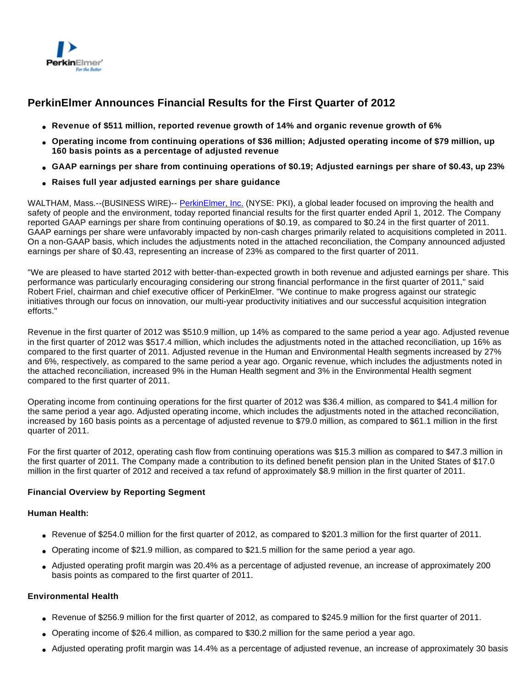

# **PerkinElmer Announces Financial Results for the First Quarter of 2012**

- **Revenue of \$511 million, reported revenue growth of 14% and organic revenue growth of 6%**
- **Operating income from continuing operations of \$36 million; Adjusted operating income of \$79 million, up 160 basis points as a percentage of adjusted revenue**
- **GAAP earnings per share from continuing operations of \$0.19; Adjusted earnings per share of \$0.43, up 23%**
- **Raises full year adjusted earnings per share guidance**

WALTHAM, Mass.--(BUSINESS WIRE)-- [PerkinElmer, Inc.](http://cts.businesswire.com/ct/CT?id=smartlink&url=http%3A%2F%2Fwww.perkinelmer.com&esheet=50252584&lan=en-US&anchor=PerkinElmer%2C+Inc.&index=1&md5=f0f720c34b73d211fc440a1d71f143b3) (NYSE: PKI), a global leader focused on improving the health and safety of people and the environment, today reported financial results for the first quarter ended April 1, 2012. The Company reported GAAP earnings per share from continuing operations of \$0.19, as compared to \$0.24 in the first quarter of 2011. GAAP earnings per share were unfavorably impacted by non-cash charges primarily related to acquisitions completed in 2011. On a non-GAAP basis, which includes the adjustments noted in the attached reconciliation, the Company announced adjusted earnings per share of \$0.43, representing an increase of 23% as compared to the first quarter of 2011.

"We are pleased to have started 2012 with better-than-expected growth in both revenue and adjusted earnings per share. This performance was particularly encouraging considering our strong financial performance in the first quarter of 2011," said Robert Friel, chairman and chief executive officer of PerkinElmer. "We continue to make progress against our strategic initiatives through our focus on innovation, our multi-year productivity initiatives and our successful acquisition integration efforts."

Revenue in the first quarter of 2012 was \$510.9 million, up 14% as compared to the same period a year ago. Adjusted revenue in the first quarter of 2012 was \$517.4 million, which includes the adjustments noted in the attached reconciliation, up 16% as compared to the first quarter of 2011. Adjusted revenue in the Human and Environmental Health segments increased by 27% and 6%, respectively, as compared to the same period a year ago. Organic revenue, which includes the adjustments noted in the attached reconciliation, increased 9% in the Human Health segment and 3% in the Environmental Health segment compared to the first quarter of 2011.

Operating income from continuing operations for the first quarter of 2012 was \$36.4 million, as compared to \$41.4 million for the same period a year ago. Adjusted operating income, which includes the adjustments noted in the attached reconciliation, increased by 160 basis points as a percentage of adjusted revenue to \$79.0 million, as compared to \$61.1 million in the first quarter of 2011.

For the first quarter of 2012, operating cash flow from continuing operations was \$15.3 million as compared to \$47.3 million in the first quarter of 2011. The Company made a contribution to its defined benefit pension plan in the United States of \$17.0 million in the first quarter of 2012 and received a tax refund of approximately \$8.9 million in the first quarter of 2011.

### **Financial Overview by Reporting Segment**

### **Human Health:**

- Revenue of \$254.0 million for the first quarter of 2012, as compared to \$201.3 million for the first quarter of 2011.
- Operating income of \$21.9 million, as compared to \$21.5 million for the same period a year ago.
- Adjusted operating profit margin was 20.4% as a percentage of adjusted revenue, an increase of approximately 200 basis points as compared to the first quarter of 2011.

### **Environmental Health**

- Revenue of \$256.9 million for the first quarter of 2012, as compared to \$245.9 million for the first quarter of 2011.
- $\bullet$  Operating income of \$26.4 million, as compared to \$30.2 million for the same period a year ago.
- Adjusted operating profit margin was 14.4% as a percentage of adjusted revenue, an increase of approximately 30 basis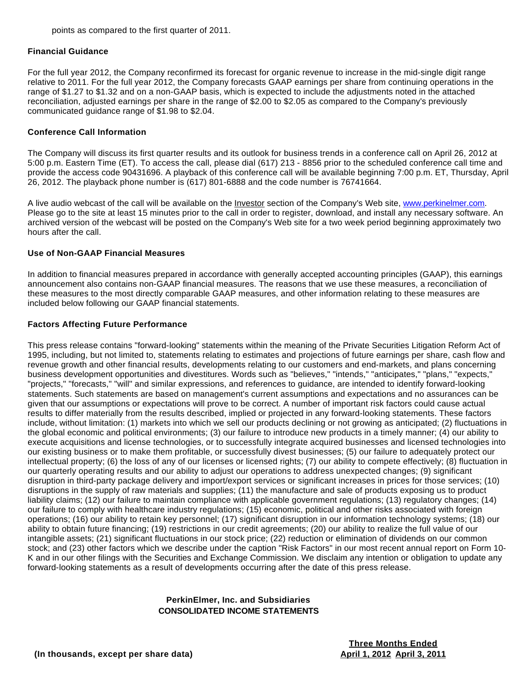points as compared to the first quarter of 2011.

### **Financial Guidance**

For the full year 2012, the Company reconfirmed its forecast for organic revenue to increase in the mid-single digit range relative to 2011. For the full year 2012, the Company forecasts GAAP earnings per share from continuing operations in the range of \$1.27 to \$1.32 and on a non-GAAP basis, which is expected to include the adjustments noted in the attached reconciliation, adjusted earnings per share in the range of \$2.00 to \$2.05 as compared to the Company's previously communicated guidance range of \$1.98 to \$2.04.

### **Conference Call Information**

The Company will discuss its first quarter results and its outlook for business trends in a conference call on April 26, 2012 at 5:00 p.m. Eastern Time (ET). To access the call, please dial (617) 213 - 8856 prior to the scheduled conference call time and provide the access code 90431696. A playback of this conference call will be available beginning 7:00 p.m. ET, Thursday, April 26, 2012. The playback phone number is (617) 801-6888 and the code number is 76741664.

A live audio webcast of the call will be available on the Investor section of the Company's Web site, [www.perkinelmer.com.](http://cts.businesswire.com/ct/CT?id=smartlink&url=http%3A%2F%2Fwww.perkinelmer.com&esheet=50252584&lan=en-US&anchor=www.perkinelmer.com&index=2&md5=b3f4531a0084e49d707cc4d4178acbb8) Please go to the site at least 15 minutes prior to the call in order to register, download, and install any necessary software. An archived version of the webcast will be posted on the Company's Web site for a two week period beginning approximately two hours after the call.

### **Use of Non-GAAP Financial Measures**

In addition to financial measures prepared in accordance with generally accepted accounting principles (GAAP), this earnings announcement also contains non-GAAP financial measures. The reasons that we use these measures, a reconciliation of these measures to the most directly comparable GAAP measures, and other information relating to these measures are included below following our GAAP financial statements.

### **Factors Affecting Future Performance**

This press release contains "forward-looking" statements within the meaning of the Private Securities Litigation Reform Act of 1995, including, but not limited to, statements relating to estimates and projections of future earnings per share, cash flow and revenue growth and other financial results, developments relating to our customers and end-markets, and plans concerning business development opportunities and divestitures. Words such as "believes," "intends," "anticipates," "plans," "expects," "projects," "forecasts," "will" and similar expressions, and references to guidance, are intended to identify forward-looking statements. Such statements are based on management's current assumptions and expectations and no assurances can be given that our assumptions or expectations will prove to be correct. A number of important risk factors could cause actual results to differ materially from the results described, implied or projected in any forward-looking statements. These factors include, without limitation: (1) markets into which we sell our products declining or not growing as anticipated; (2) fluctuations in the global economic and political environments; (3) our failure to introduce new products in a timely manner; (4) our ability to execute acquisitions and license technologies, or to successfully integrate acquired businesses and licensed technologies into our existing business or to make them profitable, or successfully divest businesses; (5) our failure to adequately protect our intellectual property; (6) the loss of any of our licenses or licensed rights; (7) our ability to compete effectively; (8) fluctuation in our quarterly operating results and our ability to adjust our operations to address unexpected changes; (9) significant disruption in third-party package delivery and import/export services or significant increases in prices for those services; (10) disruptions in the supply of raw materials and supplies; (11) the manufacture and sale of products exposing us to product liability claims; (12) our failure to maintain compliance with applicable government regulations; (13) regulatory changes; (14) our failure to comply with healthcare industry regulations; (15) economic, political and other risks associated with foreign operations; (16) our ability to retain key personnel; (17) significant disruption in our information technology systems; (18) our ability to obtain future financing; (19) restrictions in our credit agreements; (20) our ability to realize the full value of our intangible assets; (21) significant fluctuations in our stock price; (22) reduction or elimination of dividends on our common stock; and (23) other factors which we describe under the caption "Risk Factors" in our most recent annual report on Form 10- K and in our other filings with the Securities and Exchange Commission. We disclaim any intention or obligation to update any forward-looking statements as a result of developments occurring after the date of this press release.

#### **PerkinElmer, Inc. and Subsidiaries CONSOLIDATED INCOME STATEMENTS**

**Three Months Ended**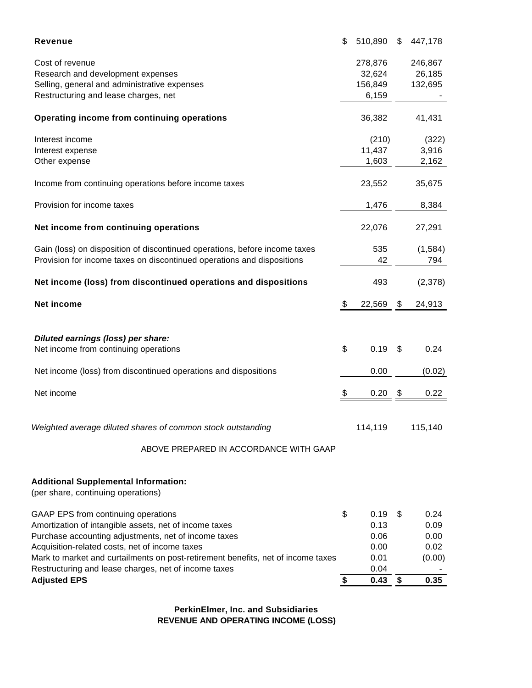| <b>Revenue</b>                                                                    | \$<br>510,890   | \$<br>447,178 |
|-----------------------------------------------------------------------------------|-----------------|---------------|
| Cost of revenue                                                                   | 278,876         | 246,867       |
| Research and development expenses                                                 | 32,624          | 26,185        |
| Selling, general and administrative expenses                                      | 156,849         | 132,695       |
| Restructuring and lease charges, net                                              | 6,159           |               |
|                                                                                   |                 |               |
| Operating income from continuing operations                                       | 36,382          | 41,431        |
| Interest income                                                                   | (210)           | (322)         |
| Interest expense                                                                  | 11,437          | 3,916         |
| Other expense                                                                     | 1,603           | 2,162         |
| Income from continuing operations before income taxes                             | 23,552          | 35,675        |
| Provision for income taxes                                                        | 1,476           | 8,384         |
| Net income from continuing operations                                             | 22,076          | 27,291        |
| Gain (loss) on disposition of discontinued operations, before income taxes        | 535             | (1,584)       |
| Provision for income taxes on discontinued operations and dispositions            | 42              | 794           |
|                                                                                   |                 |               |
| Net income (loss) from discontinued operations and dispositions                   | 493             | (2,378)       |
| Net income                                                                        | \$<br>22,569    | \$<br>24,913  |
|                                                                                   |                 |               |
| Diluted earnings (loss) per share:                                                |                 |               |
| Net income from continuing operations                                             | \$<br>0.19      | \$<br>0.24    |
|                                                                                   |                 |               |
| Net income (loss) from discontinued operations and dispositions                   | 0.00            | (0.02)        |
| Net income                                                                        | \$<br>$0.20$ \$ | 0.22          |
|                                                                                   |                 |               |
| Weighted average diluted shares of common stock outstanding                       | 114,119         | 115,140       |
| ABOVE PREPARED IN ACCORDANCE WITH GAAP                                            |                 |               |
| <b>Additional Supplemental Information:</b><br>(per share, continuing operations) |                 |               |
| GAAP EPS from continuing operations                                               | \$<br>0.19      | \$<br>0.24    |
| Amortization of intangible assets, net of income taxes                            | 0.13            | 0.09          |
| Purchase accounting adjustments, net of income taxes                              | 0.06            | 0.00          |
| Acquisition-related costs, net of income taxes                                    | 0.00            | 0.02          |
| Mark to market and curtailments on post-retirement benefits, net of income taxes  | 0.01            | (0.00)        |
| Restructuring and lease charges, net of income taxes                              | 0.04            |               |
| <b>Adjusted EPS</b>                                                               | \$<br>0.43      | \$<br>0.35    |
|                                                                                   |                 |               |

**PerkinElmer, Inc. and Subsidiaries REVENUE AND OPERATING INCOME (LOSS)**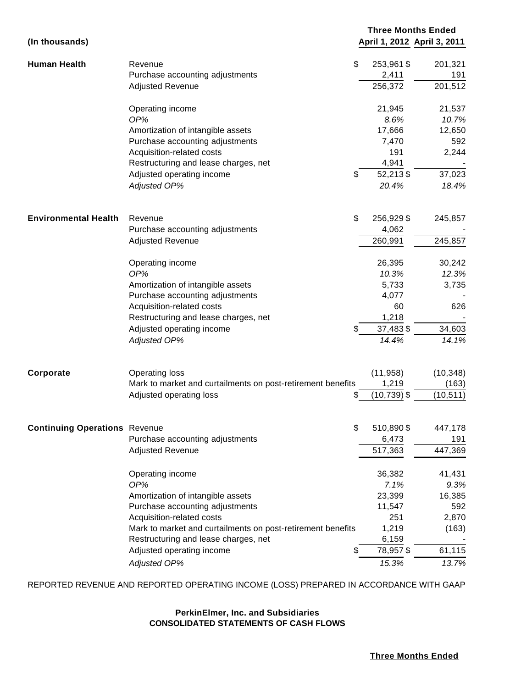|                                      |                                                             | <b>Three Months Ended</b> |                             |
|--------------------------------------|-------------------------------------------------------------|---------------------------|-----------------------------|
| (In thousands)                       |                                                             |                           | April 1, 2012 April 3, 2011 |
| <b>Human Health</b>                  | Revenue                                                     | \$<br>253,961 \$          | 201,321                     |
|                                      | Purchase accounting adjustments                             | 2,411                     | 191                         |
|                                      | <b>Adjusted Revenue</b>                                     | 256,372                   | 201,512                     |
|                                      | Operating income                                            | 21,945                    | 21,537                      |
|                                      | OP%                                                         | 8.6%                      | 10.7%                       |
|                                      | Amortization of intangible assets                           | 17,666                    | 12,650                      |
|                                      | Purchase accounting adjustments                             | 7,470                     | 592                         |
|                                      | Acquisition-related costs                                   | 191                       | 2,244                       |
|                                      | Restructuring and lease charges, net                        | 4,941                     |                             |
|                                      | Adjusted operating income                                   | \$<br>52,213\$            | 37,023                      |
|                                      | Adjusted OP%                                                | 20.4%                     | 18.4%                       |
|                                      | Revenue                                                     |                           |                             |
| <b>Environmental Health</b>          |                                                             | \$<br>256,929 \$          | 245,857                     |
|                                      | Purchase accounting adjustments                             | 4,062                     |                             |
|                                      | <b>Adjusted Revenue</b>                                     | 260,991                   | 245,857                     |
|                                      | Operating income                                            | 26,395                    | 30,242                      |
|                                      | OP%                                                         | 10.3%                     | 12.3%                       |
|                                      | Amortization of intangible assets                           | 5,733                     | 3,735                       |
|                                      | Purchase accounting adjustments                             | 4,077                     |                             |
|                                      | Acquisition-related costs                                   | 60                        | 626                         |
|                                      | Restructuring and lease charges, net                        | 1,218                     |                             |
|                                      | Adjusted operating income                                   | \$<br>37,483 \$           | 34,603                      |
|                                      | Adjusted OP%                                                | 14.4%                     | 14.1%                       |
| Corporate                            | Operating loss                                              | (11, 958)                 | (10, 348)                   |
|                                      | Mark to market and curtailments on post-retirement benefits | 1,219                     | (163)                       |
|                                      | Adjusted operating loss                                     | \$<br>$(10, 739)$ \$      | (10, 511)                   |
|                                      |                                                             |                           |                             |
| <b>Continuing Operations Revenue</b> |                                                             | \$<br>510,890\$           | 447,178                     |
|                                      | Purchase accounting adjustments                             | 6,473                     | 191                         |
|                                      | <b>Adjusted Revenue</b>                                     | 517,363                   | 447,369                     |
|                                      | Operating income                                            | 36,382                    | 41,431                      |
|                                      | OP%                                                         | 7.1%                      | 9.3%                        |
|                                      | Amortization of intangible assets                           | 23,399                    | 16,385                      |
|                                      | Purchase accounting adjustments                             | 11,547                    | 592                         |
|                                      | Acquisition-related costs                                   | 251                       | 2,870                       |
|                                      | Mark to market and curtailments on post-retirement benefits | 1,219                     | (163)                       |
|                                      | Restructuring and lease charges, net                        | 6,159                     |                             |
|                                      | Adjusted operating income                                   | \$<br>78,957\$            | 61,115                      |
|                                      | <b>Adjusted OP%</b>                                         | 15.3%                     | 13.7%                       |

REPORTED REVENUE AND REPORTED OPERATING INCOME (LOSS) PREPARED IN ACCORDANCE WITH GAAP

**PerkinElmer, Inc. and Subsidiaries CONSOLIDATED STATEMENTS OF CASH FLOWS**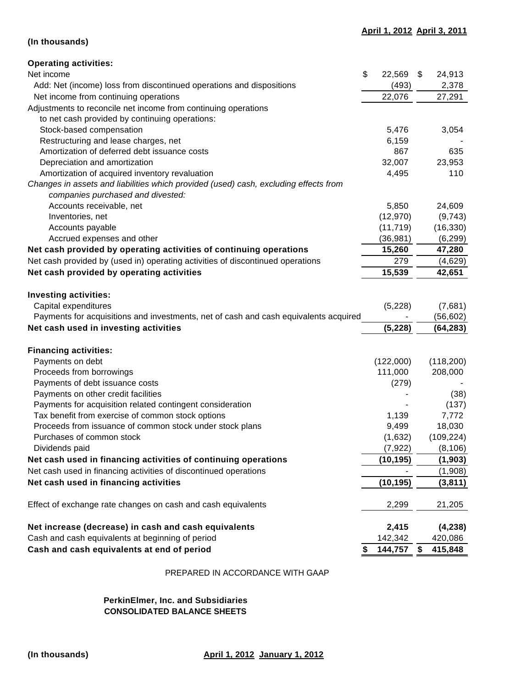# **(In thousands)**

| Net income<br>\$<br>22,569<br>24,913<br>\$<br>Add: Net (income) loss from discontinued operations and dispositions<br>(493)<br>2,378<br>Net income from continuing operations<br>22,076<br>27,291<br>Adjustments to reconcile net income from continuing operations<br>to net cash provided by continuing operations:<br>Stock-based compensation<br>5,476<br>3,054<br>Restructuring and lease charges, net<br>6,159<br>Amortization of deferred debt issuance costs<br>867<br>635<br>Depreciation and amortization<br>32,007<br>23,953<br>110<br>Amortization of acquired inventory revaluation<br>4,495<br>Changes in assets and liabilities which provided (used) cash, excluding effects from<br>companies purchased and divested:<br>Accounts receivable, net<br>5,850<br>24,609<br>(9,743)<br>Inventories, net<br>(12, 970)<br>Accounts payable<br>(11, 719)<br>(16, 330)<br>Accrued expenses and other<br>(6, 299)<br>(36, 981)<br>15,260<br>47,280<br>Net cash provided by operating activities of continuing operations<br>Net cash provided by (used in) operating activities of discontinued operations<br>279<br>(4,629)<br>Net cash provided by operating activities<br>15,539<br>42,651<br><b>Investing activities:</b><br>Capital expenditures<br>(5,228)<br>(7,681)<br>Payments for acquisitions and investments, net of cash and cash equivalents acquired<br>(56, 602)<br>(5, 228)<br>Net cash used in investing activities<br>(64, 283)<br><b>Financing activities:</b><br>Payments on debt<br>(122,000)<br>(118, 200)<br>Proceeds from borrowings<br>111,000<br>208,000<br>Payments of debt issuance costs<br>(279)<br>Payments on other credit facilities<br>(38)<br>Payments for acquisition related contingent consideration<br>(137)<br>Tax benefit from exercise of common stock options<br>7,772<br>1,139<br>Proceeds from issuance of common stock under stock plans<br>18,030<br>9,499<br>(109, 224)<br>Purchases of common stock<br>(1,632)<br>(7, 922)<br>(8, 106)<br>Dividends paid<br>Net cash used in financing activities of continuing operations<br>(10, 195)<br>(1,903)<br>Net cash used in financing activities of discontinued operations<br>(1,908)<br>Net cash used in financing activities<br>(10, 195)<br>(3, 811)<br>Effect of exchange rate changes on cash and cash equivalents<br>2,299<br>21,205<br>Net increase (decrease) in cash and cash equivalents<br>2,415<br>(4, 238)<br>Cash and cash equivalents at beginning of period<br>142,342<br>420,086<br>Cash and cash equivalents at end of period<br>144,757<br>415,848<br>\$<br>\$ | <b>Operating activities:</b> |  |
|-----------------------------------------------------------------------------------------------------------------------------------------------------------------------------------------------------------------------------------------------------------------------------------------------------------------------------------------------------------------------------------------------------------------------------------------------------------------------------------------------------------------------------------------------------------------------------------------------------------------------------------------------------------------------------------------------------------------------------------------------------------------------------------------------------------------------------------------------------------------------------------------------------------------------------------------------------------------------------------------------------------------------------------------------------------------------------------------------------------------------------------------------------------------------------------------------------------------------------------------------------------------------------------------------------------------------------------------------------------------------------------------------------------------------------------------------------------------------------------------------------------------------------------------------------------------------------------------------------------------------------------------------------------------------------------------------------------------------------------------------------------------------------------------------------------------------------------------------------------------------------------------------------------------------------------------------------------------------------------------------------------------------------------------------------------------------------------------------------------------------------------------------------------------------------------------------------------------------------------------------------------------------------------------------------------------------------------------------------------------------------------------------------------------------------------------------------------------------------------------------------------------------------------------------------------------------------------------|------------------------------|--|
|                                                                                                                                                                                                                                                                                                                                                                                                                                                                                                                                                                                                                                                                                                                                                                                                                                                                                                                                                                                                                                                                                                                                                                                                                                                                                                                                                                                                                                                                                                                                                                                                                                                                                                                                                                                                                                                                                                                                                                                                                                                                                                                                                                                                                                                                                                                                                                                                                                                                                                                                                                                         |                              |  |
|                                                                                                                                                                                                                                                                                                                                                                                                                                                                                                                                                                                                                                                                                                                                                                                                                                                                                                                                                                                                                                                                                                                                                                                                                                                                                                                                                                                                                                                                                                                                                                                                                                                                                                                                                                                                                                                                                                                                                                                                                                                                                                                                                                                                                                                                                                                                                                                                                                                                                                                                                                                         |                              |  |
|                                                                                                                                                                                                                                                                                                                                                                                                                                                                                                                                                                                                                                                                                                                                                                                                                                                                                                                                                                                                                                                                                                                                                                                                                                                                                                                                                                                                                                                                                                                                                                                                                                                                                                                                                                                                                                                                                                                                                                                                                                                                                                                                                                                                                                                                                                                                                                                                                                                                                                                                                                                         |                              |  |
|                                                                                                                                                                                                                                                                                                                                                                                                                                                                                                                                                                                                                                                                                                                                                                                                                                                                                                                                                                                                                                                                                                                                                                                                                                                                                                                                                                                                                                                                                                                                                                                                                                                                                                                                                                                                                                                                                                                                                                                                                                                                                                                                                                                                                                                                                                                                                                                                                                                                                                                                                                                         |                              |  |
|                                                                                                                                                                                                                                                                                                                                                                                                                                                                                                                                                                                                                                                                                                                                                                                                                                                                                                                                                                                                                                                                                                                                                                                                                                                                                                                                                                                                                                                                                                                                                                                                                                                                                                                                                                                                                                                                                                                                                                                                                                                                                                                                                                                                                                                                                                                                                                                                                                                                                                                                                                                         |                              |  |
|                                                                                                                                                                                                                                                                                                                                                                                                                                                                                                                                                                                                                                                                                                                                                                                                                                                                                                                                                                                                                                                                                                                                                                                                                                                                                                                                                                                                                                                                                                                                                                                                                                                                                                                                                                                                                                                                                                                                                                                                                                                                                                                                                                                                                                                                                                                                                                                                                                                                                                                                                                                         |                              |  |
|                                                                                                                                                                                                                                                                                                                                                                                                                                                                                                                                                                                                                                                                                                                                                                                                                                                                                                                                                                                                                                                                                                                                                                                                                                                                                                                                                                                                                                                                                                                                                                                                                                                                                                                                                                                                                                                                                                                                                                                                                                                                                                                                                                                                                                                                                                                                                                                                                                                                                                                                                                                         |                              |  |
|                                                                                                                                                                                                                                                                                                                                                                                                                                                                                                                                                                                                                                                                                                                                                                                                                                                                                                                                                                                                                                                                                                                                                                                                                                                                                                                                                                                                                                                                                                                                                                                                                                                                                                                                                                                                                                                                                                                                                                                                                                                                                                                                                                                                                                                                                                                                                                                                                                                                                                                                                                                         |                              |  |
|                                                                                                                                                                                                                                                                                                                                                                                                                                                                                                                                                                                                                                                                                                                                                                                                                                                                                                                                                                                                                                                                                                                                                                                                                                                                                                                                                                                                                                                                                                                                                                                                                                                                                                                                                                                                                                                                                                                                                                                                                                                                                                                                                                                                                                                                                                                                                                                                                                                                                                                                                                                         |                              |  |
|                                                                                                                                                                                                                                                                                                                                                                                                                                                                                                                                                                                                                                                                                                                                                                                                                                                                                                                                                                                                                                                                                                                                                                                                                                                                                                                                                                                                                                                                                                                                                                                                                                                                                                                                                                                                                                                                                                                                                                                                                                                                                                                                                                                                                                                                                                                                                                                                                                                                                                                                                                                         |                              |  |
|                                                                                                                                                                                                                                                                                                                                                                                                                                                                                                                                                                                                                                                                                                                                                                                                                                                                                                                                                                                                                                                                                                                                                                                                                                                                                                                                                                                                                                                                                                                                                                                                                                                                                                                                                                                                                                                                                                                                                                                                                                                                                                                                                                                                                                                                                                                                                                                                                                                                                                                                                                                         |                              |  |
|                                                                                                                                                                                                                                                                                                                                                                                                                                                                                                                                                                                                                                                                                                                                                                                                                                                                                                                                                                                                                                                                                                                                                                                                                                                                                                                                                                                                                                                                                                                                                                                                                                                                                                                                                                                                                                                                                                                                                                                                                                                                                                                                                                                                                                                                                                                                                                                                                                                                                                                                                                                         |                              |  |
|                                                                                                                                                                                                                                                                                                                                                                                                                                                                                                                                                                                                                                                                                                                                                                                                                                                                                                                                                                                                                                                                                                                                                                                                                                                                                                                                                                                                                                                                                                                                                                                                                                                                                                                                                                                                                                                                                                                                                                                                                                                                                                                                                                                                                                                                                                                                                                                                                                                                                                                                                                                         |                              |  |
|                                                                                                                                                                                                                                                                                                                                                                                                                                                                                                                                                                                                                                                                                                                                                                                                                                                                                                                                                                                                                                                                                                                                                                                                                                                                                                                                                                                                                                                                                                                                                                                                                                                                                                                                                                                                                                                                                                                                                                                                                                                                                                                                                                                                                                                                                                                                                                                                                                                                                                                                                                                         |                              |  |
|                                                                                                                                                                                                                                                                                                                                                                                                                                                                                                                                                                                                                                                                                                                                                                                                                                                                                                                                                                                                                                                                                                                                                                                                                                                                                                                                                                                                                                                                                                                                                                                                                                                                                                                                                                                                                                                                                                                                                                                                                                                                                                                                                                                                                                                                                                                                                                                                                                                                                                                                                                                         |                              |  |
|                                                                                                                                                                                                                                                                                                                                                                                                                                                                                                                                                                                                                                                                                                                                                                                                                                                                                                                                                                                                                                                                                                                                                                                                                                                                                                                                                                                                                                                                                                                                                                                                                                                                                                                                                                                                                                                                                                                                                                                                                                                                                                                                                                                                                                                                                                                                                                                                                                                                                                                                                                                         |                              |  |
|                                                                                                                                                                                                                                                                                                                                                                                                                                                                                                                                                                                                                                                                                                                                                                                                                                                                                                                                                                                                                                                                                                                                                                                                                                                                                                                                                                                                                                                                                                                                                                                                                                                                                                                                                                                                                                                                                                                                                                                                                                                                                                                                                                                                                                                                                                                                                                                                                                                                                                                                                                                         |                              |  |
|                                                                                                                                                                                                                                                                                                                                                                                                                                                                                                                                                                                                                                                                                                                                                                                                                                                                                                                                                                                                                                                                                                                                                                                                                                                                                                                                                                                                                                                                                                                                                                                                                                                                                                                                                                                                                                                                                                                                                                                                                                                                                                                                                                                                                                                                                                                                                                                                                                                                                                                                                                                         |                              |  |
|                                                                                                                                                                                                                                                                                                                                                                                                                                                                                                                                                                                                                                                                                                                                                                                                                                                                                                                                                                                                                                                                                                                                                                                                                                                                                                                                                                                                                                                                                                                                                                                                                                                                                                                                                                                                                                                                                                                                                                                                                                                                                                                                                                                                                                                                                                                                                                                                                                                                                                                                                                                         |                              |  |
|                                                                                                                                                                                                                                                                                                                                                                                                                                                                                                                                                                                                                                                                                                                                                                                                                                                                                                                                                                                                                                                                                                                                                                                                                                                                                                                                                                                                                                                                                                                                                                                                                                                                                                                                                                                                                                                                                                                                                                                                                                                                                                                                                                                                                                                                                                                                                                                                                                                                                                                                                                                         |                              |  |
|                                                                                                                                                                                                                                                                                                                                                                                                                                                                                                                                                                                                                                                                                                                                                                                                                                                                                                                                                                                                                                                                                                                                                                                                                                                                                                                                                                                                                                                                                                                                                                                                                                                                                                                                                                                                                                                                                                                                                                                                                                                                                                                                                                                                                                                                                                                                                                                                                                                                                                                                                                                         |                              |  |
|                                                                                                                                                                                                                                                                                                                                                                                                                                                                                                                                                                                                                                                                                                                                                                                                                                                                                                                                                                                                                                                                                                                                                                                                                                                                                                                                                                                                                                                                                                                                                                                                                                                                                                                                                                                                                                                                                                                                                                                                                                                                                                                                                                                                                                                                                                                                                                                                                                                                                                                                                                                         |                              |  |
|                                                                                                                                                                                                                                                                                                                                                                                                                                                                                                                                                                                                                                                                                                                                                                                                                                                                                                                                                                                                                                                                                                                                                                                                                                                                                                                                                                                                                                                                                                                                                                                                                                                                                                                                                                                                                                                                                                                                                                                                                                                                                                                                                                                                                                                                                                                                                                                                                                                                                                                                                                                         |                              |  |
|                                                                                                                                                                                                                                                                                                                                                                                                                                                                                                                                                                                                                                                                                                                                                                                                                                                                                                                                                                                                                                                                                                                                                                                                                                                                                                                                                                                                                                                                                                                                                                                                                                                                                                                                                                                                                                                                                                                                                                                                                                                                                                                                                                                                                                                                                                                                                                                                                                                                                                                                                                                         |                              |  |
|                                                                                                                                                                                                                                                                                                                                                                                                                                                                                                                                                                                                                                                                                                                                                                                                                                                                                                                                                                                                                                                                                                                                                                                                                                                                                                                                                                                                                                                                                                                                                                                                                                                                                                                                                                                                                                                                                                                                                                                                                                                                                                                                                                                                                                                                                                                                                                                                                                                                                                                                                                                         |                              |  |
|                                                                                                                                                                                                                                                                                                                                                                                                                                                                                                                                                                                                                                                                                                                                                                                                                                                                                                                                                                                                                                                                                                                                                                                                                                                                                                                                                                                                                                                                                                                                                                                                                                                                                                                                                                                                                                                                                                                                                                                                                                                                                                                                                                                                                                                                                                                                                                                                                                                                                                                                                                                         |                              |  |
|                                                                                                                                                                                                                                                                                                                                                                                                                                                                                                                                                                                                                                                                                                                                                                                                                                                                                                                                                                                                                                                                                                                                                                                                                                                                                                                                                                                                                                                                                                                                                                                                                                                                                                                                                                                                                                                                                                                                                                                                                                                                                                                                                                                                                                                                                                                                                                                                                                                                                                                                                                                         |                              |  |
|                                                                                                                                                                                                                                                                                                                                                                                                                                                                                                                                                                                                                                                                                                                                                                                                                                                                                                                                                                                                                                                                                                                                                                                                                                                                                                                                                                                                                                                                                                                                                                                                                                                                                                                                                                                                                                                                                                                                                                                                                                                                                                                                                                                                                                                                                                                                                                                                                                                                                                                                                                                         |                              |  |
|                                                                                                                                                                                                                                                                                                                                                                                                                                                                                                                                                                                                                                                                                                                                                                                                                                                                                                                                                                                                                                                                                                                                                                                                                                                                                                                                                                                                                                                                                                                                                                                                                                                                                                                                                                                                                                                                                                                                                                                                                                                                                                                                                                                                                                                                                                                                                                                                                                                                                                                                                                                         |                              |  |
|                                                                                                                                                                                                                                                                                                                                                                                                                                                                                                                                                                                                                                                                                                                                                                                                                                                                                                                                                                                                                                                                                                                                                                                                                                                                                                                                                                                                                                                                                                                                                                                                                                                                                                                                                                                                                                                                                                                                                                                                                                                                                                                                                                                                                                                                                                                                                                                                                                                                                                                                                                                         |                              |  |
|                                                                                                                                                                                                                                                                                                                                                                                                                                                                                                                                                                                                                                                                                                                                                                                                                                                                                                                                                                                                                                                                                                                                                                                                                                                                                                                                                                                                                                                                                                                                                                                                                                                                                                                                                                                                                                                                                                                                                                                                                                                                                                                                                                                                                                                                                                                                                                                                                                                                                                                                                                                         |                              |  |
|                                                                                                                                                                                                                                                                                                                                                                                                                                                                                                                                                                                                                                                                                                                                                                                                                                                                                                                                                                                                                                                                                                                                                                                                                                                                                                                                                                                                                                                                                                                                                                                                                                                                                                                                                                                                                                                                                                                                                                                                                                                                                                                                                                                                                                                                                                                                                                                                                                                                                                                                                                                         |                              |  |
|                                                                                                                                                                                                                                                                                                                                                                                                                                                                                                                                                                                                                                                                                                                                                                                                                                                                                                                                                                                                                                                                                                                                                                                                                                                                                                                                                                                                                                                                                                                                                                                                                                                                                                                                                                                                                                                                                                                                                                                                                                                                                                                                                                                                                                                                                                                                                                                                                                                                                                                                                                                         |                              |  |
|                                                                                                                                                                                                                                                                                                                                                                                                                                                                                                                                                                                                                                                                                                                                                                                                                                                                                                                                                                                                                                                                                                                                                                                                                                                                                                                                                                                                                                                                                                                                                                                                                                                                                                                                                                                                                                                                                                                                                                                                                                                                                                                                                                                                                                                                                                                                                                                                                                                                                                                                                                                         |                              |  |
|                                                                                                                                                                                                                                                                                                                                                                                                                                                                                                                                                                                                                                                                                                                                                                                                                                                                                                                                                                                                                                                                                                                                                                                                                                                                                                                                                                                                                                                                                                                                                                                                                                                                                                                                                                                                                                                                                                                                                                                                                                                                                                                                                                                                                                                                                                                                                                                                                                                                                                                                                                                         |                              |  |
|                                                                                                                                                                                                                                                                                                                                                                                                                                                                                                                                                                                                                                                                                                                                                                                                                                                                                                                                                                                                                                                                                                                                                                                                                                                                                                                                                                                                                                                                                                                                                                                                                                                                                                                                                                                                                                                                                                                                                                                                                                                                                                                                                                                                                                                                                                                                                                                                                                                                                                                                                                                         |                              |  |
|                                                                                                                                                                                                                                                                                                                                                                                                                                                                                                                                                                                                                                                                                                                                                                                                                                                                                                                                                                                                                                                                                                                                                                                                                                                                                                                                                                                                                                                                                                                                                                                                                                                                                                                                                                                                                                                                                                                                                                                                                                                                                                                                                                                                                                                                                                                                                                                                                                                                                                                                                                                         |                              |  |
|                                                                                                                                                                                                                                                                                                                                                                                                                                                                                                                                                                                                                                                                                                                                                                                                                                                                                                                                                                                                                                                                                                                                                                                                                                                                                                                                                                                                                                                                                                                                                                                                                                                                                                                                                                                                                                                                                                                                                                                                                                                                                                                                                                                                                                                                                                                                                                                                                                                                                                                                                                                         |                              |  |
|                                                                                                                                                                                                                                                                                                                                                                                                                                                                                                                                                                                                                                                                                                                                                                                                                                                                                                                                                                                                                                                                                                                                                                                                                                                                                                                                                                                                                                                                                                                                                                                                                                                                                                                                                                                                                                                                                                                                                                                                                                                                                                                                                                                                                                                                                                                                                                                                                                                                                                                                                                                         |                              |  |
|                                                                                                                                                                                                                                                                                                                                                                                                                                                                                                                                                                                                                                                                                                                                                                                                                                                                                                                                                                                                                                                                                                                                                                                                                                                                                                                                                                                                                                                                                                                                                                                                                                                                                                                                                                                                                                                                                                                                                                                                                                                                                                                                                                                                                                                                                                                                                                                                                                                                                                                                                                                         |                              |  |
|                                                                                                                                                                                                                                                                                                                                                                                                                                                                                                                                                                                                                                                                                                                                                                                                                                                                                                                                                                                                                                                                                                                                                                                                                                                                                                                                                                                                                                                                                                                                                                                                                                                                                                                                                                                                                                                                                                                                                                                                                                                                                                                                                                                                                                                                                                                                                                                                                                                                                                                                                                                         |                              |  |

# PREPARED IN ACCORDANCE WITH GAAP

# **PerkinElmer, Inc. and Subsidiaries CONSOLIDATED BALANCE SHEETS**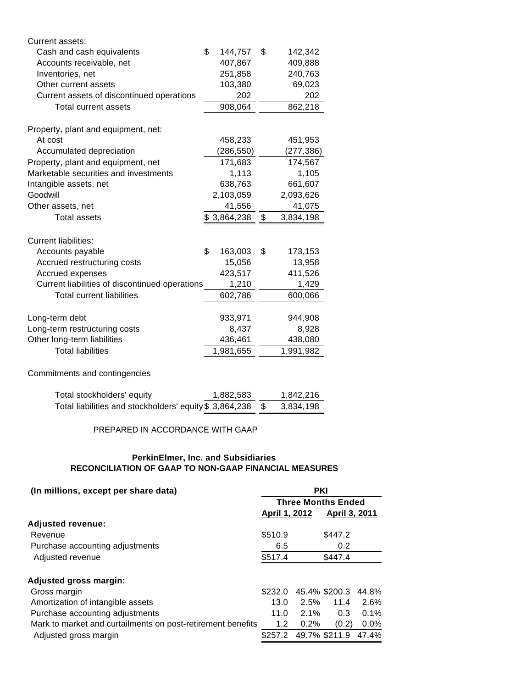| Current assets:                                    |               |    |            |
|----------------------------------------------------|---------------|----|------------|
| Cash and cash equivalents                          | \$<br>144,757 | S  | 142,342    |
| Accounts receivable, net                           | 407,867       |    | 409,888    |
| Inventories, net                                   | 251,858       |    | 240,763    |
| Other current assets                               | 103,380       |    | 69,023     |
| Current assets of discontinued operations          | 202           |    | 202        |
| Total current assets                               | 908,064       |    | 862,218    |
| Property, plant and equipment, net:                |               |    |            |
| At cost                                            | 458,233       |    | 451,953    |
| Accumulated depreciation                           | (286, 550)    |    | (277, 386) |
| Property, plant and equipment, net                 | 171,683       |    | 174,567    |
| Marketable securities and investments              | 1,113         |    | 1,105      |
| Intangible assets, net                             | 638,763       |    | 661,607    |
| Goodwill                                           | 2,103,059     |    | 2,093,626  |
| Other assets, net                                  | 41,556        |    | 41,075     |
| <b>Total assets</b>                                | \$3,864,238   | \$ | 3,834,198  |
| <b>Current liabilities:</b>                        |               |    |            |
| Accounts payable                                   | \$<br>163,003 | \$ | 173,153    |
| Accrued restructuring costs                        | 15,056        |    | 13,958     |
| Accrued expenses                                   | 423,517       |    | 411,526    |
| Current liabilities of discontinued operations     | 1,210         |    | 1,429      |
| <b>Total current liabilities</b>                   | 602,786       |    | 600,066    |
|                                                    |               |    |            |
| Long-term debt                                     | 933,971       |    | 944,908    |
| Long-term restructuring costs                      | 8,437         |    | 8,928      |
| Other long-term liabilities                        | 436,461       |    | 438,080    |
| <b>Total liabilities</b>                           | 1,981,655     |    | 1,991,982  |
| والمتحام وبالمسحون المرورات الملويات ووبلا وورومات |               |    |            |

Commitments and contingencies

| Total stockholders' equity                              | 1,882,583 | 1,842,216 |
|---------------------------------------------------------|-----------|-----------|
| Total liabilities and stockholders' equity \$ 3,864,238 |           | 3.834.198 |

# PREPARED IN ACCORDANCE WITH GAAP

# **PerkinElmer, Inc. and Subsidiaries RECONCILIATION OF GAAP TO NON-GAAP FINANCIAL MEASURES**

| (In millions, except per share data)                        | <b>PKI</b>                |         |                      |       |
|-------------------------------------------------------------|---------------------------|---------|----------------------|-------|
|                                                             | <b>Three Months Ended</b> |         |                      |       |
|                                                             | <u>April 1, 2012</u>      |         | <u>April 3, 2011</u> |       |
| <b>Adjusted revenue:</b>                                    |                           |         |                      |       |
| Revenue                                                     | \$510.9                   |         | \$447.2              |       |
| Purchase accounting adjustments                             | 6.5                       |         | 0.2                  |       |
| Adjusted revenue                                            | \$517.4                   |         | \$447.4              |       |
|                                                             |                           |         |                      |       |
| Adjusted gross margin:                                      |                           |         |                      |       |
| Gross margin                                                | \$232.0                   |         | 45.4% \$200.3        | 44.8% |
| Amortization of intangible assets                           | 13.0                      | 2.5%    | 11.4                 | 2.6%  |
| Purchase accounting adjustments                             | 11.0                      | $2.1\%$ | 0.3                  | 0.1%  |
| Mark to market and curtailments on post-retirement benefits | $1.2^{\circ}$             | 0.2%    | (0.2)                | 0.0%  |
| Adjusted gross margin                                       | \$257.2                   |         | 49.7% \$211.9        | 47.4% |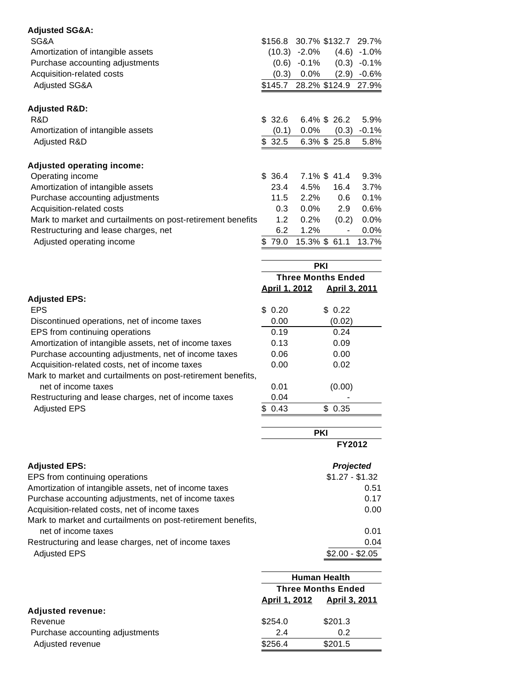| <b>Adjusted SG&amp;A:</b><br>SG&A                                                                              |                                                  |                 |                           |                |
|----------------------------------------------------------------------------------------------------------------|--------------------------------------------------|-----------------|---------------------------|----------------|
| Amortization of intangible assets                                                                              | \$156.8                                          | $(10.3) -2.0\%$ | 30.7% \$132.7 29.7%       | $(4.6) -1.0\%$ |
| Purchase accounting adjustments                                                                                |                                                  | $(0.6) -0.1\%$  |                           | $(0.3) -0.1\%$ |
| Acquisition-related costs                                                                                      | (0.3)                                            | 0.0%            | (2.9)                     | $-0.6%$        |
| Adjusted SG&A                                                                                                  | \$145.7                                          |                 | 28.2% \$124.9             | 27.9%          |
|                                                                                                                |                                                  |                 |                           |                |
| <b>Adjusted R&amp;D:</b>                                                                                       |                                                  |                 |                           |                |
| R&D                                                                                                            | \$32.6                                           |                 | 6.4% \$26.2               | 5.9%           |
| Amortization of intangible assets                                                                              | (0.1)                                            | 0.0%            | (0.3)                     | $-0.1%$        |
| Adjusted R&D                                                                                                   | \$32.5                                           |                 | 6.3% \$25.8               | 5.8%           |
| <b>Adjusted operating income:</b>                                                                              |                                                  |                 |                           |                |
| Operating income                                                                                               | \$36.4                                           |                 | 7.1% \$41.4               | 9.3%           |
| Amortization of intangible assets                                                                              | 23.4                                             | 4.5%            | 16.4                      | 3.7%           |
| Purchase accounting adjustments                                                                                | 11.5                                             | 2.2%            | 0.6                       | 0.1%           |
| Acquisition-related costs                                                                                      | 0.3                                              | 0.0%            | 2.9                       | 0.6%           |
| Mark to market and curtailments on post-retirement benefits                                                    | 1.2                                              | 0.2%            | (0.2)                     | 0.0%           |
| Restructuring and lease charges, net                                                                           | 6.2                                              | 1.2%            |                           | 0.0%           |
| Adjusted operating income                                                                                      | \$79.0                                           |                 | 15.3% \$ 61.1             | 13.7%          |
|                                                                                                                |                                                  | <b>PKI</b>      |                           |                |
|                                                                                                                |                                                  |                 | <b>Three Months Ended</b> |                |
|                                                                                                                | <b>April 1, 2012</b>                             |                 | <b>April 3, 2011</b>      |                |
| <b>Adjusted EPS:</b>                                                                                           |                                                  |                 |                           |                |
| <b>EPS</b>                                                                                                     | \$0.20                                           |                 | \$0.22                    |                |
| Discontinued operations, net of income taxes                                                                   | 0.00                                             |                 | (0.02)                    |                |
| EPS from continuing operations                                                                                 | 0.19                                             |                 | 0.24                      |                |
| Amortization of intangible assets, net of income taxes                                                         | 0.13                                             |                 | 0.09                      |                |
| Purchase accounting adjustments, net of income taxes                                                           | 0.06                                             |                 | 0.00                      |                |
| Acquisition-related costs, net of income taxes                                                                 | 0.00                                             |                 | 0.02                      |                |
| Mark to market and curtailments on post-retirement benefits,                                                   |                                                  |                 |                           |                |
| net of income taxes                                                                                            | 0.01                                             |                 | (0.00)                    |                |
| Restructuring and lease charges, net of income taxes                                                           | 0.04                                             |                 |                           |                |
| <b>Adjusted EPS</b>                                                                                            | \$0.43                                           |                 | \$0.35                    |                |
|                                                                                                                |                                                  | <b>PKI</b>      |                           |                |
|                                                                                                                |                                                  |                 | FY2012                    |                |
|                                                                                                                |                                                  |                 |                           |                |
| <b>Adjusted EPS:</b>                                                                                           |                                                  |                 | <b>Projected</b>          |                |
| EPS from continuing operations                                                                                 |                                                  |                 | $$1.27 - $1.32$           |                |
| Amortization of intangible assets, net of income taxes                                                         |                                                  |                 |                           | 0.51           |
| Purchase accounting adjustments, net of income taxes                                                           |                                                  |                 |                           | 0.17<br>0.00   |
| Acquisition-related costs, net of income taxes<br>Mark to market and curtailments on post-retirement benefits, |                                                  |                 |                           |                |
| net of income taxes                                                                                            |                                                  |                 |                           | 0.01           |
| Restructuring and lease charges, net of income taxes                                                           |                                                  |                 |                           | 0.04           |
| <b>Adjusted EPS</b>                                                                                            |                                                  |                 | $$2.00 - $2.05$           |                |
|                                                                                                                |                                                  |                 |                           |                |
|                                                                                                                | <b>Human Health</b><br><b>Three Months Ended</b> |                 |                           |                |
|                                                                                                                | <u>April 1, 2012</u>                             |                 | April 3, 2011             |                |
| <b>Adjusted revenue:</b>                                                                                       |                                                  |                 |                           |                |
| Revenue                                                                                                        | \$254.0                                          |                 | \$201.3                   |                |
| Purchase accounting adjustments                                                                                | 2.4                                              |                 | 0.2                       |                |

Purchase accounting adjustments <br>Adjusted revenue 3256.4

Adjusted revenue  $\overline{$256.4}$   $\overline{$201.5}$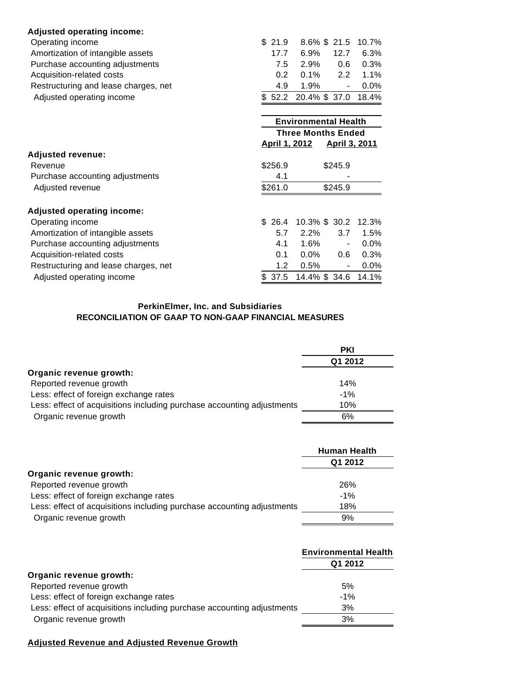| \$21.9               | 8.6% \$ 21.5 10.7%                |
|----------------------|-----------------------------------|
| 17.7                 | 6.9%<br>12.7<br>6.3%              |
| 7.5                  | 2.9%<br>0.6<br>0.3%               |
| 0.2                  | $0.1\%$<br>$2.2^{\circ}$<br>1.1%  |
| 4.9                  | 1.9%<br>$0.0\%$                   |
| \$52.2               | 20.4% \$ 37.0<br>18.4%            |
|                      | <b>Environmental Health</b>       |
|                      | <b>Three Months Ended</b>         |
| <b>April 1, 2012</b> | April 3, 2011                     |
|                      |                                   |
| \$256.9              | \$245.9                           |
| 4.1                  |                                   |
| \$261.0              | \$245.9                           |
|                      |                                   |
| 26.4<br>S.           | 10.3% \$ 30.2<br>12.3%            |
| 5.7                  | 2.2%<br>1.5%<br>3.7               |
| 4.1                  | 1.6%<br>$0.0\%$<br>$\blacksquare$ |
| 0.1                  | $0.0\%$<br>0.3%<br>0.6            |
| 1.2                  | 0.5%<br>0.0%<br>$\blacksquare$    |
| \$<br>37.5           | 14.4% \$34.6<br>14.1%             |
|                      |                                   |

## **PerkinElmer, Inc. and Subsidiaries RECONCILIATION OF GAAP TO NON-GAAP FINANCIAL MEASURES**

|                                                                        | <b>PKI</b> |
|------------------------------------------------------------------------|------------|
|                                                                        | Q1 2012    |
| Organic revenue growth:                                                |            |
| Reported revenue growth                                                | 14%        |
| Less: effect of foreign exchange rates                                 | $-1\%$     |
| Less: effect of acquisitions including purchase accounting adjustments | 10%        |
| Organic revenue growth                                                 | 6%         |

|                                                                        | <b>Human Health</b> |
|------------------------------------------------------------------------|---------------------|
|                                                                        | Q1 2012             |
| Organic revenue growth:                                                |                     |
| Reported revenue growth                                                | <b>26%</b>          |
| Less: effect of foreign exchange rates                                 | $-1\%$              |
| Less: effect of acquisitions including purchase accounting adjustments | 18%                 |
| Organic revenue growth                                                 | 9%                  |

|                                                                        | <b>Environmental Health</b> |
|------------------------------------------------------------------------|-----------------------------|
|                                                                        | Q1 2012                     |
| Organic revenue growth:                                                |                             |
| Reported revenue growth                                                | 5%                          |
| Less: effect of foreign exchange rates                                 | $-1\%$                      |
| Less: effect of acquisitions including purchase accounting adjustments | 3%                          |
| Organic revenue growth                                                 | 3%                          |

## **Adjusted Revenue and Adjusted Revenue Growth**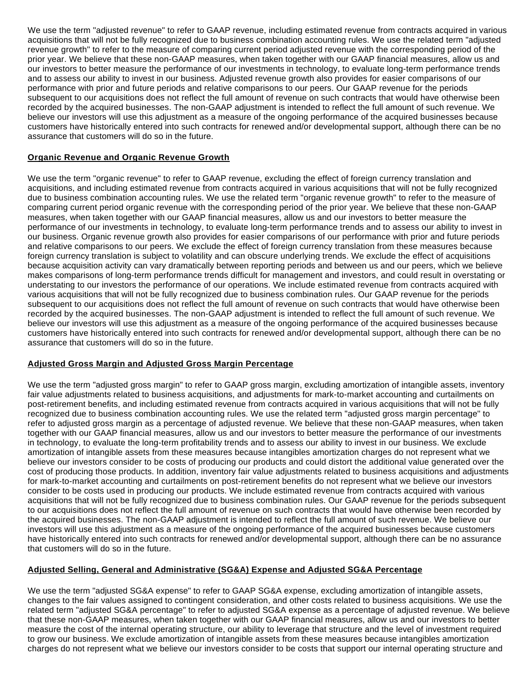We use the term "adjusted revenue" to refer to GAAP revenue, including estimated revenue from contracts acquired in various acquisitions that will not be fully recognized due to business combination accounting rules. We use the related term "adjusted revenue growth" to refer to the measure of comparing current period adjusted revenue with the corresponding period of the prior year. We believe that these non-GAAP measures, when taken together with our GAAP financial measures, allow us and our investors to better measure the performance of our investments in technology, to evaluate long-term performance trends and to assess our ability to invest in our business. Adjusted revenue growth also provides for easier comparisons of our performance with prior and future periods and relative comparisons to our peers. Our GAAP revenue for the periods subsequent to our acquisitions does not reflect the full amount of revenue on such contracts that would have otherwise been recorded by the acquired businesses. The non-GAAP adjustment is intended to reflect the full amount of such revenue. We believe our investors will use this adjustment as a measure of the ongoing performance of the acquired businesses because customers have historically entered into such contracts for renewed and/or developmental support, although there can be no assurance that customers will do so in the future.

## **Organic Revenue and Organic Revenue Growth**

We use the term "organic revenue" to refer to GAAP revenue, excluding the effect of foreign currency translation and acquisitions, and including estimated revenue from contracts acquired in various acquisitions that will not be fully recognized due to business combination accounting rules. We use the related term "organic revenue growth" to refer to the measure of comparing current period organic revenue with the corresponding period of the prior year. We believe that these non-GAAP measures, when taken together with our GAAP financial measures, allow us and our investors to better measure the performance of our investments in technology, to evaluate long-term performance trends and to assess our ability to invest in our business. Organic revenue growth also provides for easier comparisons of our performance with prior and future periods and relative comparisons to our peers. We exclude the effect of foreign currency translation from these measures because foreign currency translation is subject to volatility and can obscure underlying trends. We exclude the effect of acquisitions because acquisition activity can vary dramatically between reporting periods and between us and our peers, which we believe makes comparisons of long-term performance trends difficult for management and investors, and could result in overstating or understating to our investors the performance of our operations. We include estimated revenue from contracts acquired with various acquisitions that will not be fully recognized due to business combination rules. Our GAAP revenue for the periods subsequent to our acquisitions does not reflect the full amount of revenue on such contracts that would have otherwise been recorded by the acquired businesses. The non-GAAP adjustment is intended to reflect the full amount of such revenue. We believe our investors will use this adjustment as a measure of the ongoing performance of the acquired businesses because customers have historically entered into such contracts for renewed and/or developmental support, although there can be no assurance that customers will do so in the future.

# **Adjusted Gross Margin and Adjusted Gross Margin Percentage**

We use the term "adjusted gross margin" to refer to GAAP gross margin, excluding amortization of intangible assets, inventory fair value adjustments related to business acquisitions, and adjustments for mark-to-market accounting and curtailments on post-retirement benefits, and including estimated revenue from contracts acquired in various acquisitions that will not be fully recognized due to business combination accounting rules. We use the related term "adjusted gross margin percentage" to refer to adjusted gross margin as a percentage of adjusted revenue. We believe that these non-GAAP measures, when taken together with our GAAP financial measures, allow us and our investors to better measure the performance of our investments in technology, to evaluate the long-term profitability trends and to assess our ability to invest in our business. We exclude amortization of intangible assets from these measures because intangibles amortization charges do not represent what we believe our investors consider to be costs of producing our products and could distort the additional value generated over the cost of producing those products. In addition, inventory fair value adjustments related to business acquisitions and adjustments for mark-to-market accounting and curtailments on post-retirement benefits do not represent what we believe our investors consider to be costs used in producing our products. We include estimated revenue from contracts acquired with various acquisitions that will not be fully recognized due to business combination rules. Our GAAP revenue for the periods subsequent to our acquisitions does not reflect the full amount of revenue on such contracts that would have otherwise been recorded by the acquired businesses. The non-GAAP adjustment is intended to reflect the full amount of such revenue. We believe our investors will use this adjustment as a measure of the ongoing performance of the acquired businesses because customers have historically entered into such contracts for renewed and/or developmental support, although there can be no assurance that customers will do so in the future.

# **Adjusted Selling, General and Administrative (SG&A) Expense and Adjusted SG&A Percentage**

We use the term "adjusted SG&A expense" to refer to GAAP SG&A expense, excluding amortization of intangible assets, changes to the fair values assigned to contingent consideration, and other costs related to business acquisitions. We use the related term "adjusted SG&A percentage" to refer to adjusted SG&A expense as a percentage of adjusted revenue. We believe that these non-GAAP measures, when taken together with our GAAP financial measures, allow us and our investors to better measure the cost of the internal operating structure, our ability to leverage that structure and the level of investment required to grow our business. We exclude amortization of intangible assets from these measures because intangibles amortization charges do not represent what we believe our investors consider to be costs that support our internal operating structure and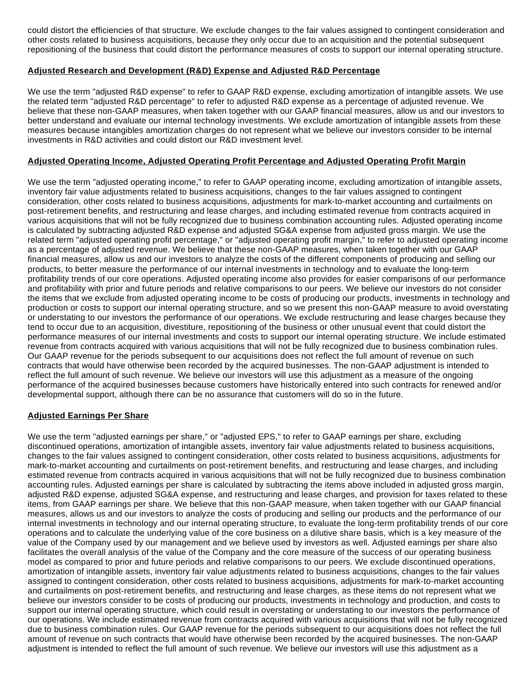could distort the efficiencies of that structure. We exclude changes to the fair values assigned to contingent consideration and other costs related to business acquisitions, because they only occur due to an acquisition and the potential subsequent repositioning of the business that could distort the performance measures of costs to support our internal operating structure.

### **Adjusted Research and Development (R&D) Expense and Adjusted R&D Percentage**

We use the term "adjusted R&D expense" to refer to GAAP R&D expense, excluding amortization of intangible assets. We use the related term "adjusted R&D percentage" to refer to adjusted R&D expense as a percentage of adjusted revenue. We believe that these non-GAAP measures, when taken together with our GAAP financial measures, allow us and our investors to better understand and evaluate our internal technology investments. We exclude amortization of intangible assets from these measures because intangibles amortization charges do not represent what we believe our investors consider to be internal investments in R&D activities and could distort our R&D investment level.

## **Adjusted Operating Income, Adjusted Operating Profit Percentage and Adjusted Operating Profit Margin**

We use the term "adjusted operating income," to refer to GAAP operating income, excluding amortization of intangible assets, inventory fair value adjustments related to business acquisitions, changes to the fair values assigned to contingent consideration, other costs related to business acquisitions, adjustments for mark-to-market accounting and curtailments on post-retirement benefits, and restructuring and lease charges, and including estimated revenue from contracts acquired in various acquisitions that will not be fully recognized due to business combination accounting rules. Adjusted operating income is calculated by subtracting adjusted R&D expense and adjusted SG&A expense from adjusted gross margin. We use the related term "adjusted operating profit percentage," or "adjusted operating profit margin," to refer to adjusted operating income as a percentage of adjusted revenue. We believe that these non-GAAP measures, when taken together with our GAAP financial measures, allow us and our investors to analyze the costs of the different components of producing and selling our products, to better measure the performance of our internal investments in technology and to evaluate the long-term profitability trends of our core operations. Adjusted operating income also provides for easier comparisons of our performance and profitability with prior and future periods and relative comparisons to our peers. We believe our investors do not consider the items that we exclude from adjusted operating income to be costs of producing our products, investments in technology and production or costs to support our internal operating structure, and so we present this non-GAAP measure to avoid overstating or understating to our investors the performance of our operations. We exclude restructuring and lease charges because they tend to occur due to an acquisition, divestiture, repositioning of the business or other unusual event that could distort the performance measures of our internal investments and costs to support our internal operating structure. We include estimated revenue from contracts acquired with various acquisitions that will not be fully recognized due to business combination rules. Our GAAP revenue for the periods subsequent to our acquisitions does not reflect the full amount of revenue on such contracts that would have otherwise been recorded by the acquired businesses. The non-GAAP adjustment is intended to reflect the full amount of such revenue. We believe our investors will use this adjustment as a measure of the ongoing performance of the acquired businesses because customers have historically entered into such contracts for renewed and/or developmental support, although there can be no assurance that customers will do so in the future.

# **Adjusted Earnings Per Share**

We use the term "adjusted earnings per share," or "adjusted EPS," to refer to GAAP earnings per share, excluding discontinued operations, amortization of intangible assets, inventory fair value adjustments related to business acquisitions, changes to the fair values assigned to contingent consideration, other costs related to business acquisitions, adjustments for mark-to-market accounting and curtailments on post-retirement benefits, and restructuring and lease charges, and including estimated revenue from contracts acquired in various acquisitions that will not be fully recognized due to business combination accounting rules. Adjusted earnings per share is calculated by subtracting the items above included in adjusted gross margin, adjusted R&D expense, adjusted SG&A expense, and restructuring and lease charges, and provision for taxes related to these items, from GAAP earnings per share. We believe that this non-GAAP measure, when taken together with our GAAP financial measures, allows us and our investors to analyze the costs of producing and selling our products and the performance of our internal investments in technology and our internal operating structure, to evaluate the long-term profitability trends of our core operations and to calculate the underlying value of the core business on a dilutive share basis, which is a key measure of the value of the Company used by our management and we believe used by investors as well. Adjusted earnings per share also facilitates the overall analysis of the value of the Company and the core measure of the success of our operating business model as compared to prior and future periods and relative comparisons to our peers. We exclude discontinued operations, amortization of intangible assets, inventory fair value adjustments related to business acquisitions, changes to the fair values assigned to contingent consideration, other costs related to business acquisitions, adjustments for mark-to-market accounting and curtailments on post-retirement benefits, and restructuring and lease charges, as these items do not represent what we believe our investors consider to be costs of producing our products, investments in technology and production, and costs to support our internal operating structure, which could result in overstating or understating to our investors the performance of our operations. We include estimated revenue from contracts acquired with various acquisitions that will not be fully recognized due to business combination rules. Our GAAP revenue for the periods subsequent to our acquisitions does not reflect the full amount of revenue on such contracts that would have otherwise been recorded by the acquired businesses. The non-GAAP adjustment is intended to reflect the full amount of such revenue. We believe our investors will use this adjustment as a